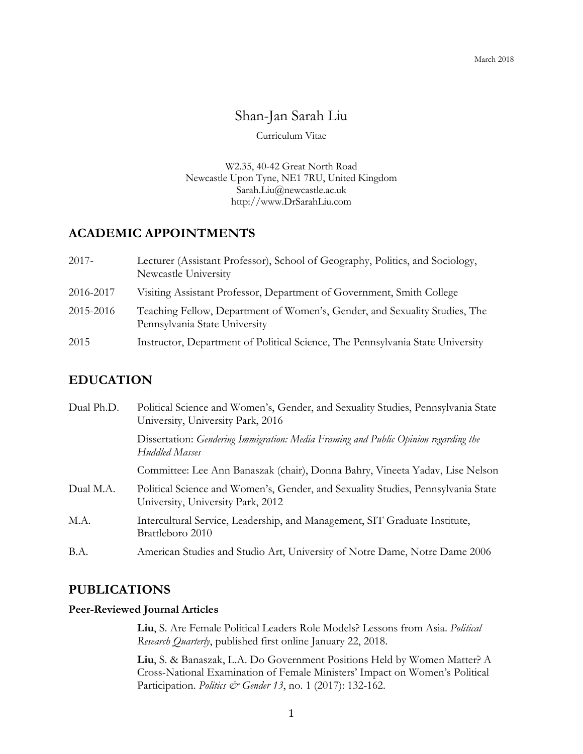# Shan-Jan Sarah Liu

Curriculum Vitae

W2.35, 40-42 Great North Road Newcastle Upon Tyne, NE1 7RU, United Kingdom Sarah.Liu@newcastle.ac.uk http://www.DrSarahLiu.com

# **ACADEMIC APPOINTMENTS**

| $2017 -$  | Lecturer (Assistant Professor), School of Geography, Politics, and Sociology,<br>Newcastle University       |
|-----------|-------------------------------------------------------------------------------------------------------------|
| 2016-2017 | Visiting Assistant Professor, Department of Government, Smith College                                       |
| 2015-2016 | Teaching Fellow, Department of Women's, Gender, and Sexuality Studies, The<br>Pennsylvania State University |
| 2015      | Instructor, Department of Political Science, The Pennsylvania State University                              |

# **EDUCATION**

| Dual Ph.D. | Political Science and Women's, Gender, and Sexuality Studies, Pennsylvania State<br>University, University Park, 2016 |
|------------|-----------------------------------------------------------------------------------------------------------------------|
|            | Dissertation: Gendering Immigration: Media Framing and Public Opinion regarding the<br>Huddled Masses                 |
|            | Committee: Lee Ann Banaszak (chair), Donna Bahry, Vineeta Yadav, Lise Nelson                                          |
| Dual M.A.  | Political Science and Women's, Gender, and Sexuality Studies, Pennsylvania State<br>University, University Park, 2012 |
| M.A.       | Intercultural Service, Leadership, and Management, SIT Graduate Institute,<br>Brattleboro 2010                        |
| B.A.       | American Studies and Studio Art, University of Notre Dame, Notre Dame 2006                                            |

# **PUBLICATIONS**

### **Peer-Reviewed Journal Articles**

**Liu**, S. Are Female Political Leaders Role Models? Lessons from Asia. *Political Research Quarterly*, published first online January 22, 2018.

**Liu**, S. & Banaszak, L.A. Do Government Positions Held by Women Matter? A Cross-National Examination of Female Ministers' Impact on Women's Political Participation. *Politics & Gender 13*, no. 1 (2017): 132-162.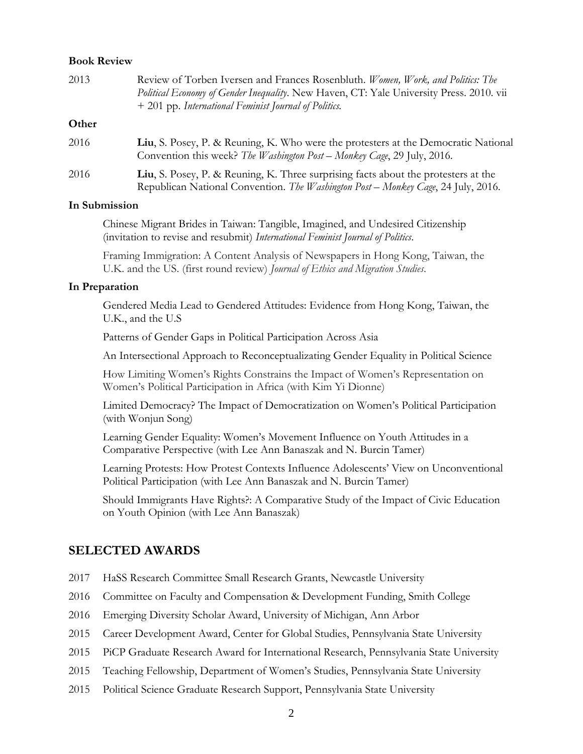#### **Book Review**

| 2013  | Review of Torben Iversen and Frances Rosenbluth. Women, Work, and Politics: The<br>Political Economy of Gender Inequality. New Haven, CT: Yale University Press. 2010. vii<br>+ 201 pp. International Feminist Journal of Politics. |
|-------|-------------------------------------------------------------------------------------------------------------------------------------------------------------------------------------------------------------------------------------|
| Other |                                                                                                                                                                                                                                     |
| 2016  | Liu, S. Posey, P. & Reuning, K. Who were the protesters at the Democratic National<br>Convention this week? The Washington Post - Monkey Cage, 29 July, 2016.                                                                       |
| 2016  | Liu, S. Posey, P. & Reuning, K. Three surprising facts about the protesters at the<br>Republican National Convention. The Washington Post - Monkey Cage, 24 July, 2016.                                                             |

#### **In Submission**

Chinese Migrant Brides in Taiwan: Tangible, Imagined, and Undesired Citizenship (invitation to revise and resubmit) *International Feminist Journal of Politics*.

Framing Immigration: A Content Analysis of Newspapers in Hong Kong, Taiwan, the U.K. and the US. (first round review) *Journal of Ethics and Migration Studies*.

#### **In Preparation**

Gendered Media Lead to Gendered Attitudes: Evidence from Hong Kong, Taiwan, the U.K., and the U.S

Patterns of Gender Gaps in Political Participation Across Asia

An Intersectional Approach to Reconceptualizating Gender Equality in Political Science

How Limiting Women's Rights Constrains the Impact of Women's Representation on Women's Political Participation in Africa (with Kim Yi Dionne)

Limited Democracy? The Impact of Democratization on Women's Political Participation (with Wonjun Song)

Learning Gender Equality: Women's Movement Influence on Youth Attitudes in a Comparative Perspective (with Lee Ann Banaszak and N. Burcin Tamer)

Learning Protests: How Protest Contexts Influence Adolescents' View on Unconventional Political Participation (with Lee Ann Banaszak and N. Burcin Tamer)

Should Immigrants Have Rights?: A Comparative Study of the Impact of Civic Education on Youth Opinion (with Lee Ann Banaszak)

### **SELECTED AWARDS**

- 2017 HaSS Research Committee Small Research Grants, Newcastle University
- 2016 Committee on Faculty and Compensation & Development Funding, Smith College
- 2016 Emerging Diversity Scholar Award, University of Michigan, Ann Arbor
- 2015 Career Development Award, Center for Global Studies, Pennsylvania State University

2015 PiCP Graduate Research Award for International Research, Pennsylvania State University

- 2015 Teaching Fellowship, Department of Women's Studies, Pennsylvania State University
- 2015 Political Science Graduate Research Support, Pennsylvania State University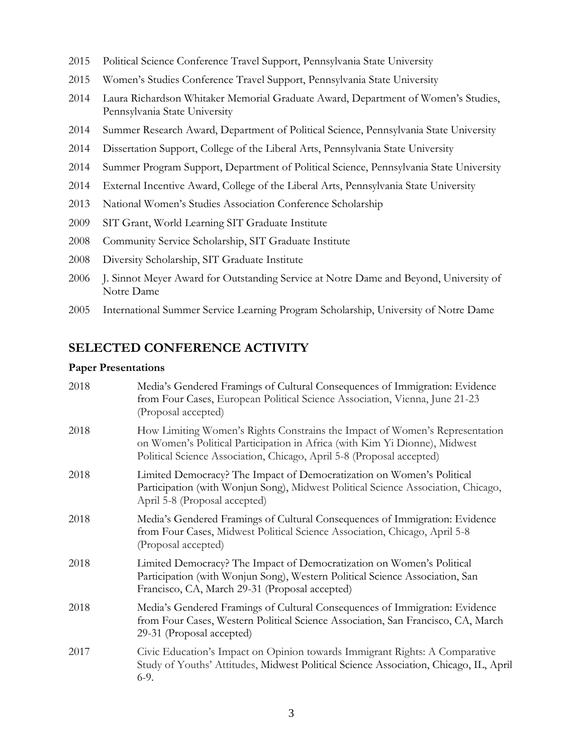- 2015 Political Science Conference Travel Support, Pennsylvania State University
- 2015 Women's Studies Conference Travel Support, Pennsylvania State University
- 2014 Laura Richardson Whitaker Memorial Graduate Award, Department of Women's Studies, Pennsylvania State University
- 2014 Summer Research Award, Department of Political Science, Pennsylvania State University
- 2014 Dissertation Support, College of the Liberal Arts, Pennsylvania State University
- 2014 Summer Program Support, Department of Political Science, Pennsylvania State University
- 2014 External Incentive Award, College of the Liberal Arts, Pennsylvania State University
- 2013 National Women's Studies Association Conference Scholarship
- 2009 SIT Grant, World Learning SIT Graduate Institute
- 2008 Community Service Scholarship, SIT Graduate Institute
- 2008 Diversity Scholarship, SIT Graduate Institute
- 2006 J. Sinnot Meyer Award for Outstanding Service at Notre Dame and Beyond, University of Notre Dame
- 2005 International Summer Service Learning Program Scholarship, University of Notre Dame

# **SELECTED CONFERENCE ACTIVITY**

#### **Paper Presentations**

| 2018 | Media's Gendered Framings of Cultural Consequences of Immigration: Evidence<br>from Four Cases, European Political Science Association, Vienna, June 21-23<br>(Proposal accepted)                                                  |
|------|------------------------------------------------------------------------------------------------------------------------------------------------------------------------------------------------------------------------------------|
| 2018 | How Limiting Women's Rights Constrains the Impact of Women's Representation<br>on Women's Political Participation in Africa (with Kim Yi Dionne), Midwest<br>Political Science Association, Chicago, April 5-8 (Proposal accepted) |
| 2018 | Limited Democracy? The Impact of Democratization on Women's Political<br>Participation (with Wonjun Song), Midwest Political Science Association, Chicago,<br>April 5-8 (Proposal accepted)                                        |
| 2018 | Media's Gendered Framings of Cultural Consequences of Immigration: Evidence<br>from Four Cases, Midwest Political Science Association, Chicago, April 5-8<br>(Proposal accepted)                                                   |
| 2018 | Limited Democracy? The Impact of Democratization on Women's Political<br>Participation (with Wonjun Song), Western Political Science Association, San<br>Francisco, CA, March 29-31 (Proposal accepted)                            |
| 2018 | Media's Gendered Framings of Cultural Consequences of Immigration: Evidence<br>from Four Cases, Western Political Science Association, San Francisco, CA, March<br>29-31 (Proposal accepted)                                       |
| 2017 | Civic Education's Impact on Opinion towards Immigrant Rights: A Comparative<br>Study of Youths' Attitudes, Midwest Political Science Association, Chicago, IL, April<br>$6-9.$                                                     |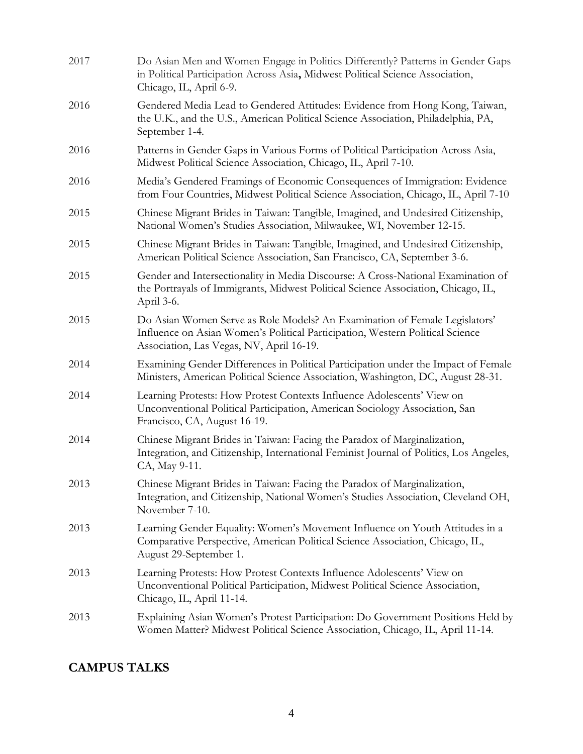| 2017 | Do Asian Men and Women Engage in Politics Differently? Patterns in Gender Gaps<br>in Political Participation Across Asia, Midwest Political Science Association,<br>Chicago, IL, April 6-9.             |
|------|---------------------------------------------------------------------------------------------------------------------------------------------------------------------------------------------------------|
| 2016 | Gendered Media Lead to Gendered Attitudes: Evidence from Hong Kong, Taiwan,<br>the U.K., and the U.S., American Political Science Association, Philadelphia, PA,<br>September 1-4.                      |
| 2016 | Patterns in Gender Gaps in Various Forms of Political Participation Across Asia,<br>Midwest Political Science Association, Chicago, IL, April 7-10.                                                     |
| 2016 | Media's Gendered Framings of Economic Consequences of Immigration: Evidence<br>from Four Countries, Midwest Political Science Association, Chicago, IL, April 7-10                                      |
| 2015 | Chinese Migrant Brides in Taiwan: Tangible, Imagined, and Undesired Citizenship,<br>National Women's Studies Association, Milwaukee, WI, November 12-15.                                                |
| 2015 | Chinese Migrant Brides in Taiwan: Tangible, Imagined, and Undesired Citizenship,<br>American Political Science Association, San Francisco, CA, September 3-6.                                           |
| 2015 | Gender and Intersectionality in Media Discourse: A Cross-National Examination of<br>the Portrayals of Immigrants, Midwest Political Science Association, Chicago, IL,<br>April 3-6.                     |
| 2015 | Do Asian Women Serve as Role Models? An Examination of Female Legislators'<br>Influence on Asian Women's Political Participation, Western Political Science<br>Association, Las Vegas, NV, April 16-19. |
| 2014 | Examining Gender Differences in Political Participation under the Impact of Female<br>Ministers, American Political Science Association, Washington, DC, August 28-31.                                  |
| 2014 | Learning Protests: How Protest Contexts Influence Adolescents' View on<br>Unconventional Political Participation, American Sociology Association, San<br>Francisco, CA, August 16-19.                   |
| 2014 | Chinese Migrant Brides in Taiwan: Facing the Paradox of Marginalization,<br>Integration, and Citizenship, International Feminist Journal of Politics, Los Angeles,<br>CA, May 9-11.                     |
| 2013 | Chinese Migrant Brides in Taiwan: Facing the Paradox of Marginalization,<br>Integration, and Citizenship, National Women's Studies Association, Cleveland OH,<br>November 7-10.                         |
| 2013 | Learning Gender Equality: Women's Movement Influence on Youth Attitudes in a<br>Comparative Perspective, American Political Science Association, Chicago, IL,<br>August 29-September 1.                 |
| 2013 | Learning Protests: How Protest Contexts Influence Adolescents' View on<br>Unconventional Political Participation, Midwest Political Science Association,<br>Chicago, IL, April 11-14.                   |
| 2013 | Explaining Asian Women's Protest Participation: Do Government Positions Held by<br>Women Matter? Midwest Political Science Association, Chicago, IL, April 11-14.                                       |

# **CAMPUS TALKS**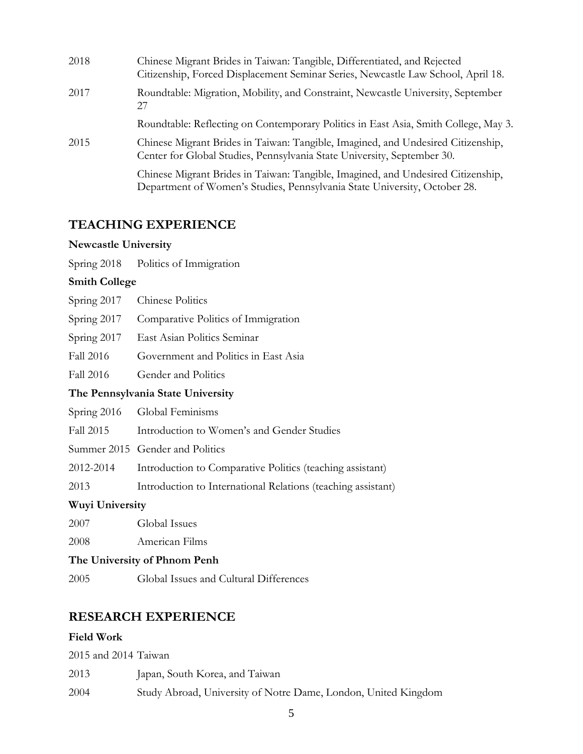| 2018 | Chinese Migrant Brides in Taiwan: Tangible, Differentiated, and Rejected<br>Citizenship, Forced Displacement Seminar Series, Newcastle Law School, April 18.  |
|------|---------------------------------------------------------------------------------------------------------------------------------------------------------------|
| 2017 | Roundtable: Migration, Mobility, and Constraint, Newcastle University, September<br>27                                                                        |
|      | Roundtable: Reflecting on Contemporary Politics in East Asia, Smith College, May 3.                                                                           |
| 2015 | Chinese Migrant Brides in Taiwan: Tangible, Imagined, and Undesired Citizenship,<br>Center for Global Studies, Pennsylvania State University, September 30.   |
|      | Chinese Migrant Brides in Taiwan: Tangible, Imagined, and Undesired Citizenship,<br>Department of Women's Studies, Pennsylvania State University, October 28. |

# **TEACHING EXPERIENCE**

### **Newcastle University**

| Spring 2018 |  | Politics of Immigration |  |
|-------------|--|-------------------------|--|
|             |  |                         |  |

### **Smith College**

| Spring 2017            | <b>Chinese Politics</b>                                      |
|------------------------|--------------------------------------------------------------|
| Spring $2017$          | Comparative Politics of Immigration                          |
| Spring 2017            | East Asian Politics Seminar                                  |
| Fall 2016              | Government and Politics in East Asia                         |
| Fall 2016              | Gender and Politics                                          |
|                        | The Pennsylvania State University                            |
|                        | Spring 2016 Global Feminisms                                 |
| Fall 2015              | Introduction to Women's and Gender Studies                   |
|                        | Summer 2015 Gender and Politics                              |
| 2012-2014              | Introduction to Comparative Politics (teaching assistant)    |
| 2013                   | Introduction to International Relations (teaching assistant) |
| <b>Wuyi University</b> |                                                              |

### 2007 Global Issues

2008 American Films

### **The University of Phnom Penh**

2005 Global Issues and Cultural Differences

# **RESEARCH EXPERIENCE**

### **Field Work**

2015 and 2014 Taiwan 2013 Japan, South Korea, and Taiwan 2004 Study Abroad, University of Notre Dame, London, United Kingdom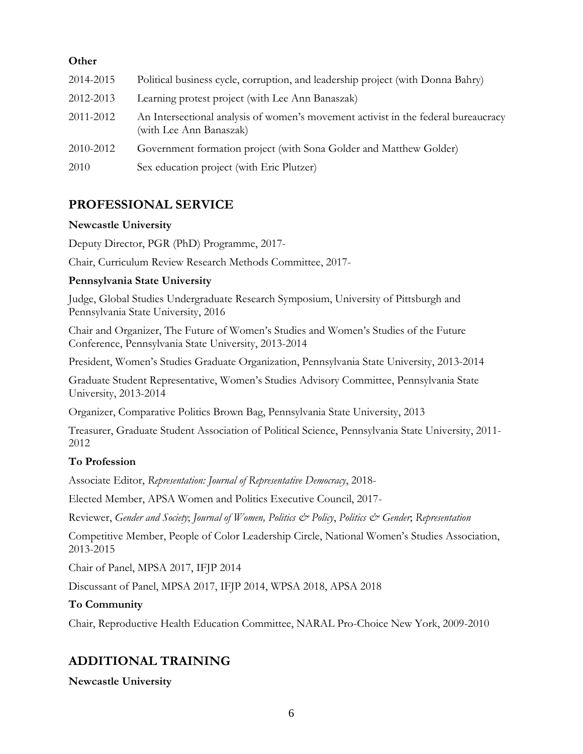## **Other**

| 2014-2015 | Political business cycle, corruption, and leadership project (with Donna Bahry)                               |
|-----------|---------------------------------------------------------------------------------------------------------------|
| 2012-2013 | Learning protest project (with Lee Ann Banaszak)                                                              |
| 2011-2012 | An Intersectional analysis of women's movement activist in the federal bureaucracy<br>(with Lee Ann Banaszak) |
| 2010-2012 | Government formation project (with Sona Golder and Matthew Golder)                                            |
| 2010      | Sex education project (with Eric Plutzer)                                                                     |

# **PROFESSIONAL SERVICE**

### **Newcastle University**

Deputy Director, PGR (PhD) Programme, 2017-

Chair, Curriculum Review Research Methods Committee, 2017-

### **Pennsylvania State University**

Judge, Global Studies Undergraduate Research Symposium, University of Pittsburgh and Pennsylvania State University, 2016

Chair and Organizer, The Future of Women's Studies and Women's Studies of the Future Conference, Pennsylvania State University, 2013-2014

President, Women's Studies Graduate Organization, Pennsylvania State University, 2013-2014

Graduate Student Representative, Women's Studies Advisory Committee, Pennsylvania State University, 2013-2014

Organizer, Comparative Politics Brown Bag, Pennsylvania State University, 2013

Treasurer, Graduate Student Association of Political Science, Pennsylvania State University, 2011- 2012

# **To Profession**

Associate Editor, *Representation: Journal of Representative Democracy*, 2018-

Elected Member, APSA Women and Politics Executive Council, 2017-

Reviewer, *Gender and Society*; *Journal of Women, Politics & Policy*, *Politics & Gender*; *Representation*

Competitive Member, People of Color Leadership Circle, National Women's Studies Association, 2013-2015

Chair of Panel, MPSA 2017, IFJP 2014

Discussant of Panel, MPSA 2017, IFJP 2014, WPSA 2018, APSA 2018

### **To Community**

Chair, Reproductive Health Education Committee, NARAL Pro-Choice New York, 2009-2010

# **ADDITIONAL TRAINING**

**Newcastle University**